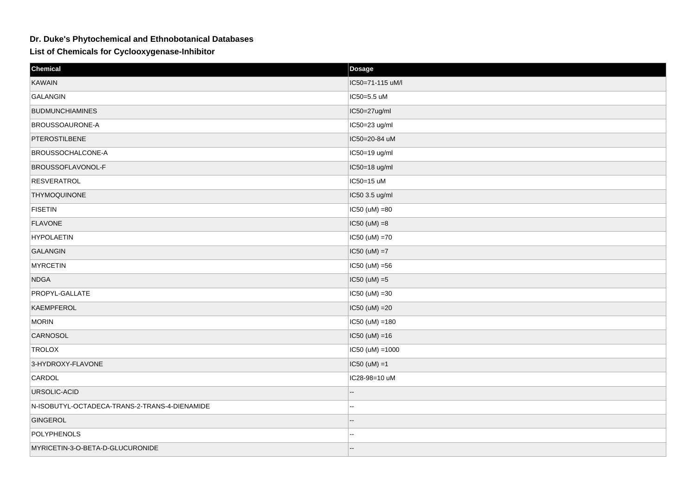## **Dr. Duke's Phytochemical and Ethnobotanical Databases**

**List of Chemicals for Cyclooxygenase-Inhibitor**

| Chemical                                      | Dosage               |
|-----------------------------------------------|----------------------|
| KAWAIN                                        | IC50=71-115 uM/l     |
| GALANGIN                                      | IC50=5.5 uM          |
| <b>BUDMUNCHIAMINES</b>                        | IC50=27ug/ml         |
| <b>BROUSSOAURONE-A</b>                        | IC50=23 ug/ml        |
| PTEROSTILBENE                                 | IC50=20-84 uM        |
| BROUSSOCHALCONE-A                             | IC50=19 ug/ml        |
| <b>BROUSSOFLAVONOL-F</b>                      | IC50=18 ug/ml        |
| <b>RESVERATROL</b>                            | IC50=15 uM           |
| THYMOQUINONE                                  | IC50 3.5 ug/ml       |
| <b>FISETIN</b>                                | $IC50 (uM) = 80$     |
| <b>FLAVONE</b>                                | $ IC50 (uM) = 8$     |
| <b>HYPOLAETIN</b>                             | IC50 (uM) =70        |
| GALANGIN                                      | $\vert$ IC50 (uM) =7 |
| <b>MYRCETIN</b>                               | $IC50 (uM) = 56$     |
| <b>NDGA</b>                                   | $\vert$ IC50 (uM) =5 |
| PROPYL-GALLATE                                | $ IC50 (uM) = 30$    |
| KAEMPFEROL                                    | $ IC50 (uM) = 20$    |
| <b>MORIN</b>                                  | $IC50 (uM) = 180$    |
| CARNOSOL                                      | $ IC50 (uM) = 16$    |
| TROLOX                                        | $IC50 (uM) = 1000$   |
| 3-HYDROXY-FLAVONE                             | $\vert$ IC50 (uM) =1 |
| CARDOL                                        | IC28-98=10 uM        |
| URSOLIC-ACID                                  |                      |
| N-ISOBUTYL-OCTADECA-TRANS-2-TRANS-4-DIENAMIDE | ц,                   |
| GINGEROL                                      |                      |
| <b>POLYPHENOLS</b>                            | ц,                   |
| MYRICETIN-3-O-BETA-D-GLUCURONIDE              |                      |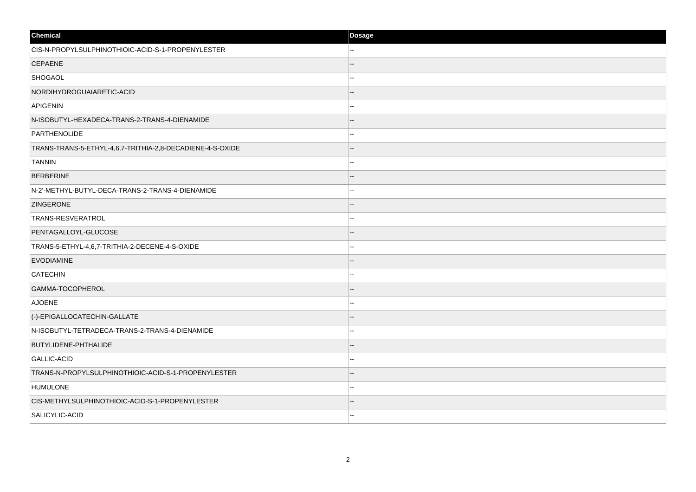| Chemical                                                  | Dosage |
|-----------------------------------------------------------|--------|
| CIS-N-PROPYLSULPHINOTHIOIC-ACID-S-1-PROPENYLESTER         |        |
| <b>CEPAENE</b>                                            |        |
| <b>SHOGAOL</b>                                            |        |
| NORDIHYDROGUAIARETIC-ACID                                 |        |
| APIGENIN                                                  |        |
| N-ISOBUTYL-HEXADECA-TRANS-2-TRANS-4-DIENAMIDE             |        |
| PARTHENOLIDE                                              |        |
| TRANS-TRANS-5-ETHYL-4,6,7-TRITHIA-2,8-DECADIENE-4-S-OXIDE |        |
| TANNIN                                                    |        |
| <b>BERBERINE</b>                                          |        |
| N-2'-METHYL-BUTYL-DECA-TRANS-2-TRANS-4-DIENAMIDE          |        |
| <b>ZINGERONE</b>                                          |        |
| TRANS-RESVERATROL                                         |        |
| PENTAGALLOYL-GLUCOSE                                      |        |
| TRANS-5-ETHYL-4,6,7-TRITHIA-2-DECENE-4-S-OXIDE            |        |
| <b>EVODIAMINE</b>                                         |        |
| CATECHIN                                                  |        |
| GAMMA-TOCOPHEROL                                          |        |
| <b>AJOENE</b>                                             |        |
| (-)-EPIGALLOCATECHIN-GALLATE                              |        |
| N-ISOBUTYL-TETRADECA-TRANS-2-TRANS-4-DIENAMIDE            |        |
| <b>BUTYLIDENE-PHTHALIDE</b>                               |        |
| GALLIC-ACID                                               |        |
| TRANS-N-PROPYLSULPHINOTHIOIC-ACID-S-1-PROPENYLESTER       |        |
| <b>HUMULONE</b>                                           | ш.     |
| CIS-METHYLSULPHINOTHIOIC-ACID-S-1-PROPENYLESTER           |        |
| SALICYLIC-ACID                                            |        |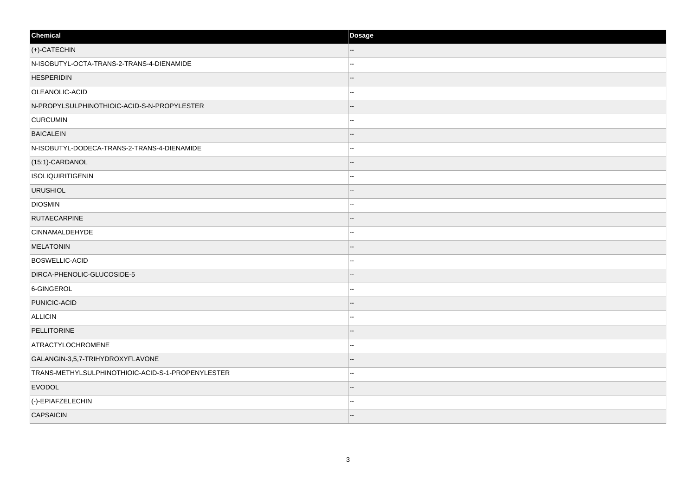| Chemical                                          | Dosage |
|---------------------------------------------------|--------|
| (+)-CATECHIN                                      | --     |
| N-ISOBUTYL-OCTA-TRANS-2-TRANS-4-DIENAMIDE         |        |
| <b>HESPERIDIN</b>                                 |        |
| OLEANOLIC-ACID                                    | --     |
| N-PROPYLSULPHINOTHIOIC-ACID-S-N-PROPYLESTER       |        |
| <b>CURCUMIN</b>                                   | --     |
| <b>BAICALEIN</b>                                  |        |
| N-ISOBUTYL-DODECA-TRANS-2-TRANS-4-DIENAMIDE       |        |
| (15:1)-CARDANOL                                   | --     |
| ISOLIQUIRITIGENIN                                 | --     |
| <b>URUSHIOL</b>                                   |        |
| <b>DIOSMIN</b>                                    | --     |
| <b>RUTAECARPINE</b>                               | --     |
| CINNAMALDEHYDE                                    | --     |
| <b>MELATONIN</b>                                  | --     |
| <b>BOSWELLIC-ACID</b>                             | --     |
| DIRCA-PHENOLIC-GLUCOSIDE-5                        |        |
| 6-GINGEROL                                        | --     |
| PUNICIC-ACID                                      |        |
| ALLICIN                                           |        |
| PELLITORINE                                       |        |
| ATRACTYLOCHROMENE                                 | --     |
| GALANGIN-3,5,7-TRIHYDROXYFLAVONE                  |        |
| TRANS-METHYLSULPHINOTHIOIC-ACID-S-1-PROPENYLESTER | --     |
| <b>EVODOL</b>                                     |        |
| (-)-EPIAFZELECHIN                                 |        |
| <b>CAPSAICIN</b>                                  |        |